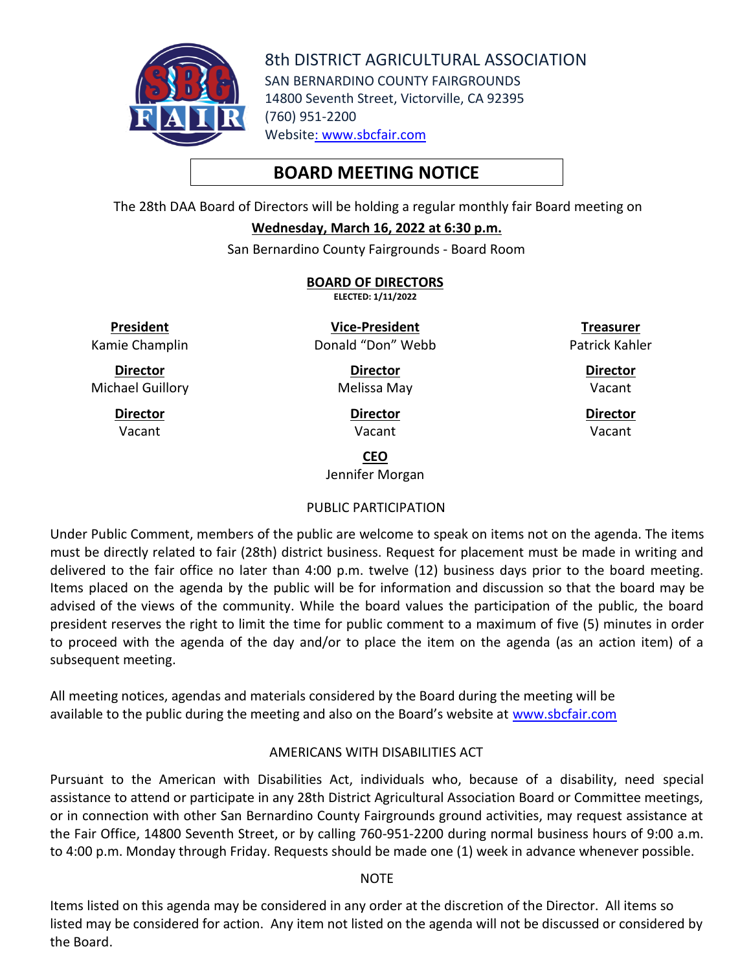

8th DISTRICT AGRICULTURAL ASSOCIATION SAN BERNARDINO COUNTY FAIRGROUNDS 14800 Seventh Street, Victorville, CA 92395 (760) 951-2200 Website: [www.sbcfair.com](http://www.sbcfair.com/)

# **BOARD MEETING NOTICE**

The 28th DAA Board of Directors will be holding a regular monthly fair Board meeting on

## **Wednesday, March 16, 2022 at 6:30 p.m.**

San Bernardino County Fairgrounds - Board Room

**BOARD OF DIRECTORS ELECTED: 1/11/2022**

**President**

Kamie Champlin

**Director** Michael Guillory

> **Director** Vacant

**Vice-President** Donald "Don" Webb

**Director**

Melissa May

**Director** Vacant

**Treasurer** Patrick Kahler

> **Director** Vacant

**Director** Vacant

**CEO**

Jennifer Morgan

# PUBLIC PARTICIPATION

Under Public Comment, members of the public are welcome to speak on items not on the agenda. The items must be directly related to fair (28th) district business. Request for placement must be made in writing and delivered to the fair office no later than 4:00 p.m. twelve (12) business days prior to the board meeting. Items placed on the agenda by the public will be for information and discussion so that the board may be advised of the views of the community. While the board values the participation of the public, the board president reserves the right to limit the time for public comment to a maximum of five (5) minutes in order to proceed with the agenda of the day and/or to place the item on the agenda (as an action item) of a subsequent meeting.

All meeting notices, agendas and materials considered by the Board during the meeting will be available to the public during the meeting and also on the Board's website at [www.sbcfair.com](http://www.sbcfair.com/)

# AMERICANS WITH DISABILITIES ACT

Pursuant to the American with Disabilities Act, individuals who, because of a disability, need special assistance to attend or participate in any 28th District Agricultural Association Board or Committee meetings, or in connection with other San Bernardino County Fairgrounds ground activities, may request assistance at the Fair Office, 14800 Seventh Street, or by calling 760-951-2200 during normal business hours of 9:00 a.m. to 4:00 p.m. Monday through Friday. Requests should be made one (1) week in advance whenever possible.

## **NOTE**

Items listed on this agenda may be considered in any order at the discretion of the Director. All items so listed may be considered for action. Any item not listed on the agenda will not be discussed or considered by the Board.